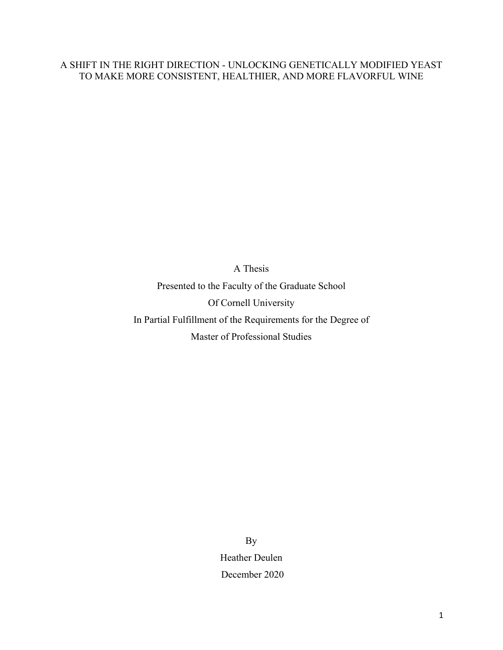# A SHIFT IN THE RIGHT DIRECTION - UNLOCKING GENETICALLY MODIFIED YEAST TO MAKE MORE CONSISTENT, HEALTHIER, AND MORE FLAVORFUL WINE

A Thesis Presented to the Faculty of the Graduate School Of Cornell University In Partial Fulfillment of the Requirements for the Degree of Master of Professional Studies

> By Heather Deulen December 2020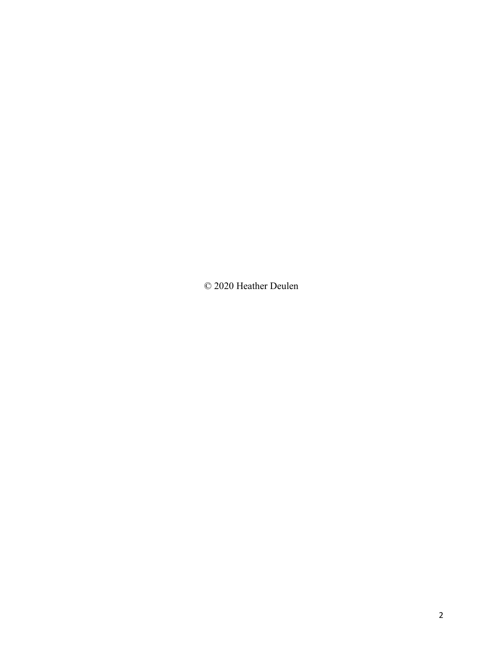© 2020 Heather Deulen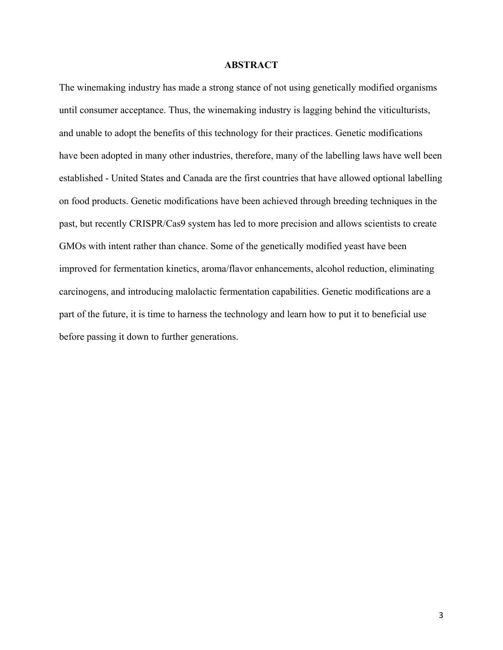## **ABSTRACT**

The winemaking industry has made a strong stance of not using genetically modified organisms until consumer acceptance. Thus, the winemaking industry is lagging behind the viticulturists, and unable to adopt the benefits of this technology for their practices. Genetic modifications have been adopted in many other industries, therefore, many of the labelling laws have well been established - United States and Canada are the first countries that have allowed optional labelling on food products. Genetic modifications have been achieved through breeding techniques in the past, but recently CRISPR/Cas9 system has led to more precision and allows scientists to create GMOs with intent rather than chance. Some of the genetically modified yeast have been improved for fermentation kinetics, aroma/flavor enhancements, alcohol reduction, eliminating carcinogens, and introducing malolactic fermentation capabilities. Genetic modifications are a part of the future, it is time to harness the technology and learn how to put it to beneficial use before passing it down to further generations.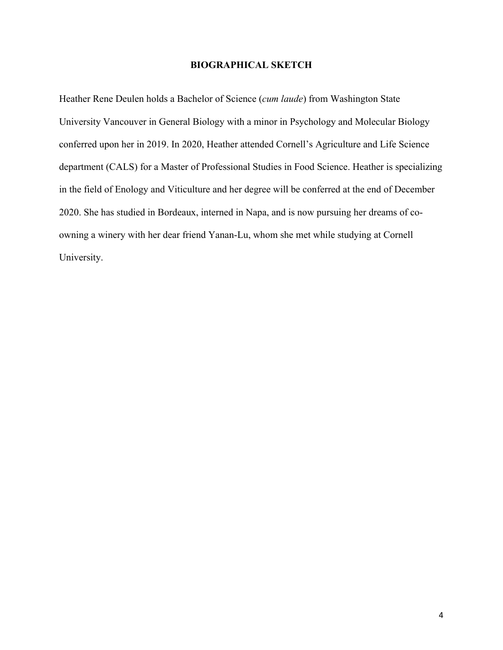## **BIOGRAPHICAL SKETCH**

Heather Rene Deulen holds a Bachelor of Science (*cum laude*) from Washington State University Vancouver in General Biology with a minor in Psychology and Molecular Biology conferred upon her in 2019. In 2020, Heather attended Cornell's Agriculture and Life Science department (CALS) for a Master of Professional Studies in Food Science. Heather is specializing in the field of Enology and Viticulture and her degree will be conferred at the end of December 2020. She has studied in Bordeaux, interned in Napa, and is now pursuing her dreams of coowning a winery with her dear friend Yanan-Lu, whom she met while studying at Cornell University.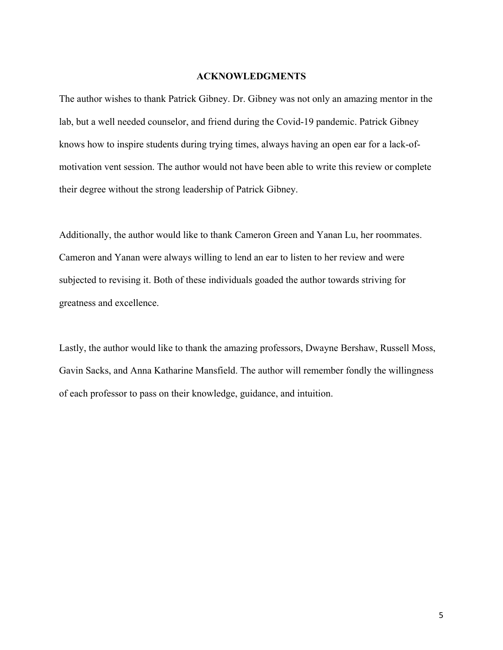#### **ACKNOWLEDGMENTS**

The author wishes to thank Patrick Gibney. Dr. Gibney was not only an amazing mentor in the lab, but a well needed counselor, and friend during the Covid-19 pandemic. Patrick Gibney knows how to inspire students during trying times, always having an open ear for a lack-ofmotivation vent session. The author would not have been able to write this review or complete their degree without the strong leadership of Patrick Gibney.

Additionally, the author would like to thank Cameron Green and Yanan Lu, her roommates. Cameron and Yanan were always willing to lend an ear to listen to her review and were subjected to revising it. Both of these individuals goaded the author towards striving for greatness and excellence.

Lastly, the author would like to thank the amazing professors, Dwayne Bershaw, Russell Moss, Gavin Sacks, and Anna Katharine Mansfield. The author will remember fondly the willingness of each professor to pass on their knowledge, guidance, and intuition.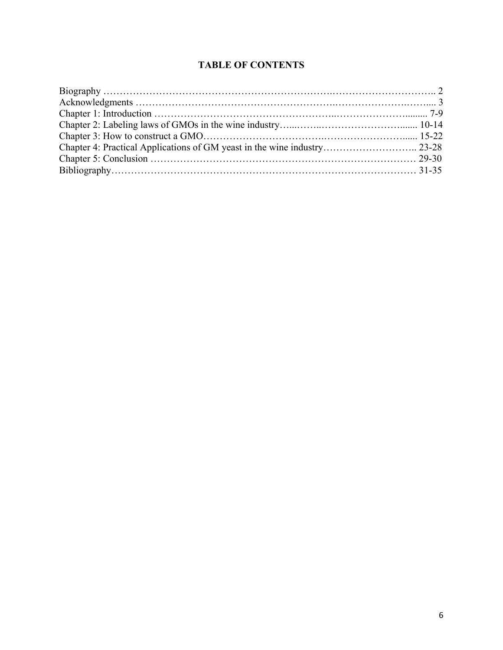# **TABLE OF CONTENTS**

| Chapter 4: Practical Applications of GM yeast in the wine industry 23-28 |  |
|--------------------------------------------------------------------------|--|
|                                                                          |  |
|                                                                          |  |
|                                                                          |  |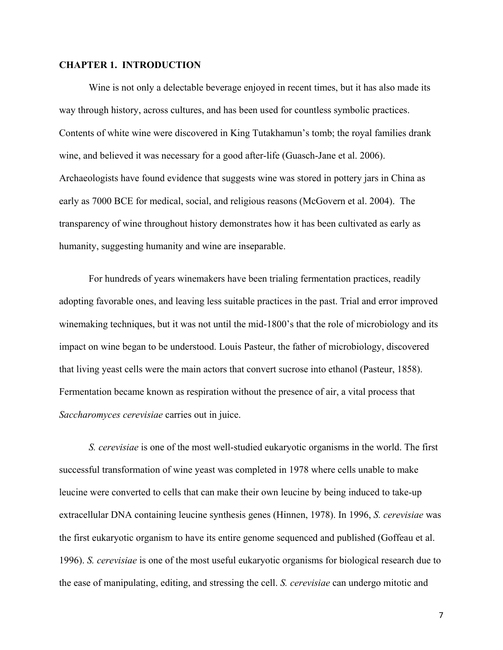#### **CHAPTER 1. INTRODUCTION**

Wine is not only a delectable beverage enjoyed in recent times, but it has also made its way through history, across cultures, and has been used for countless symbolic practices. Contents of white wine were discovered in King Tutakhamun's tomb; the royal families drank wine, and believed it was necessary for a good after-life (Guasch-Jane et al. 2006). Archaeologists have found evidence that suggests wine was stored in pottery jars in China as early as 7000 BCE for medical, social, and religious reasons (McGovern et al. 2004). The transparency of wine throughout history demonstrates how it has been cultivated as early as humanity, suggesting humanity and wine are inseparable.

For hundreds of years winemakers have been trialing fermentation practices, readily adopting favorable ones, and leaving less suitable practices in the past. Trial and error improved winemaking techniques, but it was not until the mid-1800's that the role of microbiology and its impact on wine began to be understood. Louis Pasteur, the father of microbiology, discovered that living yeast cells were the main actors that convert sucrose into ethanol (Pasteur, 1858). Fermentation became known as respiration without the presence of air, a vital process that *Saccharomyces cerevisiae* carries out in juice.

*S. cerevisiae* is one of the most well-studied eukaryotic organisms in the world. The first successful transformation of wine yeast was completed in 1978 where cells unable to make leucine were converted to cells that can make their own leucine by being induced to take-up extracellular DNA containing leucine synthesis genes (Hinnen, 1978). In 1996, *S. cerevisiae* was the first eukaryotic organism to have its entire genome sequenced and published (Goffeau et al. 1996). *S. cerevisiae* is one of the most useful eukaryotic organisms for biological research due to the ease of manipulating, editing, and stressing the cell. *S. cerevisiae* can undergo mitotic and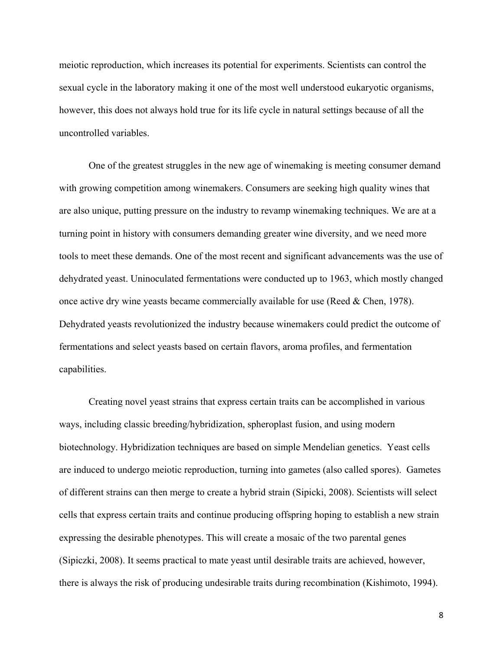meiotic reproduction, which increases its potential for experiments. Scientists can control the sexual cycle in the laboratory making it one of the most well understood eukaryotic organisms, however, this does not always hold true for its life cycle in natural settings because of all the uncontrolled variables.

One of the greatest struggles in the new age of winemaking is meeting consumer demand with growing competition among winemakers. Consumers are seeking high quality wines that are also unique, putting pressure on the industry to revamp winemaking techniques. We are at a turning point in history with consumers demanding greater wine diversity, and we need more tools to meet these demands. One of the most recent and significant advancements was the use of dehydrated yeast. Uninoculated fermentations were conducted up to 1963, which mostly changed once active dry wine yeasts became commercially available for use (Reed & Chen, 1978). Dehydrated yeasts revolutionized the industry because winemakers could predict the outcome of fermentations and select yeasts based on certain flavors, aroma profiles, and fermentation capabilities.

Creating novel yeast strains that express certain traits can be accomplished in various ways, including classic breeding/hybridization, spheroplast fusion, and using modern biotechnology. Hybridization techniques are based on simple Mendelian genetics. Yeast cells are induced to undergo meiotic reproduction, turning into gametes (also called spores). Gametes of different strains can then merge to create a hybrid strain (Sipicki, 2008). Scientists will select cells that express certain traits and continue producing offspring hoping to establish a new strain expressing the desirable phenotypes. This will create a mosaic of the two parental genes (Sipiczki, 2008). It seems practical to mate yeast until desirable traits are achieved, however, there is always the risk of producing undesirable traits during recombination (Kishimoto, 1994).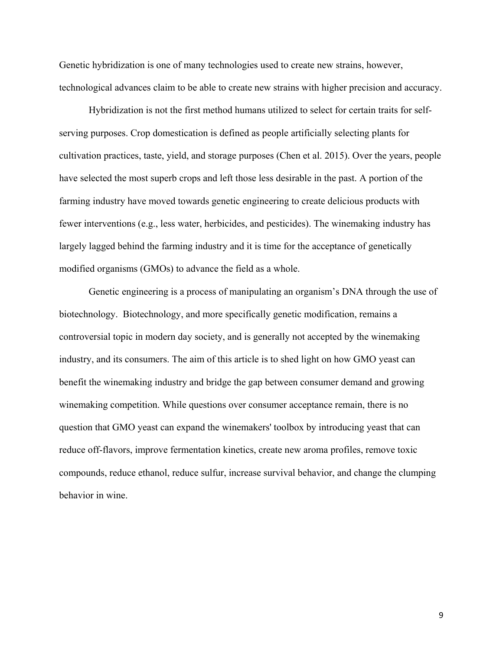Genetic hybridization is one of many technologies used to create new strains, however, technological advances claim to be able to create new strains with higher precision and accuracy.

Hybridization is not the first method humans utilized to select for certain traits for selfserving purposes. Crop domestication is defined as people artificially selecting plants for cultivation practices, taste, yield, and storage purposes (Chen et al. 2015). Over the years, people have selected the most superb crops and left those less desirable in the past. A portion of the farming industry have moved towards genetic engineering to create delicious products with fewer interventions (e.g., less water, herbicides, and pesticides). The winemaking industry has largely lagged behind the farming industry and it is time for the acceptance of genetically modified organisms (GMOs) to advance the field as a whole.

Genetic engineering is a process of manipulating an organism's DNA through the use of biotechnology. Biotechnology, and more specifically genetic modification, remains a controversial topic in modern day society, and is generally not accepted by the winemaking industry, and its consumers. The aim of this article is to shed light on how GMO yeast can benefit the winemaking industry and bridge the gap between consumer demand and growing winemaking competition. While questions over consumer acceptance remain, there is no question that GMO yeast can expand the winemakers' toolbox by introducing yeast that can reduce off-flavors, improve fermentation kinetics, create new aroma profiles, remove toxic compounds, reduce ethanol, reduce sulfur, increase survival behavior, and change the clumping behavior in wine.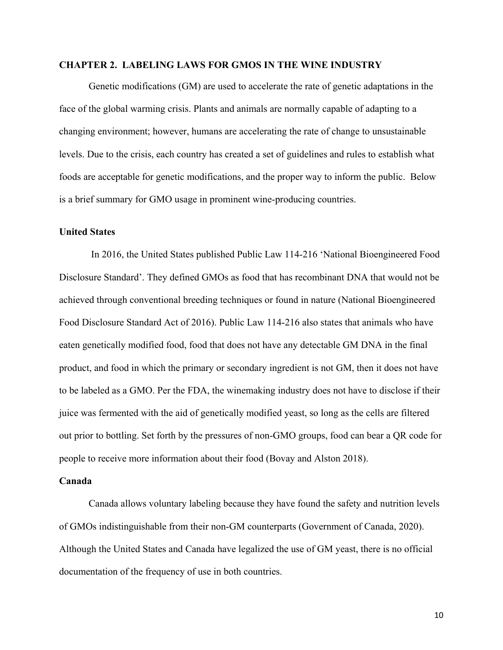#### **CHAPTER 2. LABELING LAWS FOR GMOS IN THE WINE INDUSTRY**

Genetic modifications (GM) are used to accelerate the rate of genetic adaptations in the face of the global warming crisis. Plants and animals are normally capable of adapting to a changing environment; however, humans are accelerating the rate of change to unsustainable levels. Due to the crisis, each country has created a set of guidelines and rules to establish what foods are acceptable for genetic modifications, and the proper way to inform the public. Below is a brief summary for GMO usage in prominent wine-producing countries.

#### **United States**

In 2016, the United States published Public Law 114-216 'National Bioengineered Food Disclosure Standard'. They defined GMOs as food that has recombinant DNA that would not be achieved through conventional breeding techniques or found in nature (National Bioengineered Food Disclosure Standard Act of 2016). Public Law 114-216 also states that animals who have eaten genetically modified food, food that does not have any detectable GM DNA in the final product, and food in which the primary or secondary ingredient is not GM, then it does not have to be labeled as a GMO. Per the FDA, the winemaking industry does not have to disclose if their juice was fermented with the aid of genetically modified yeast, so long as the cells are filtered out prior to bottling. Set forth by the pressures of non-GMO groups, food can bear a QR code for people to receive more information about their food (Bovay and Alston 2018).

#### **Canada**

Canada allows voluntary labeling because they have found the safety and nutrition levels of GMOs indistinguishable from their non-GM counterparts (Government of Canada, 2020). Although the United States and Canada have legalized the use of GM yeast, there is no official documentation of the frequency of use in both countries.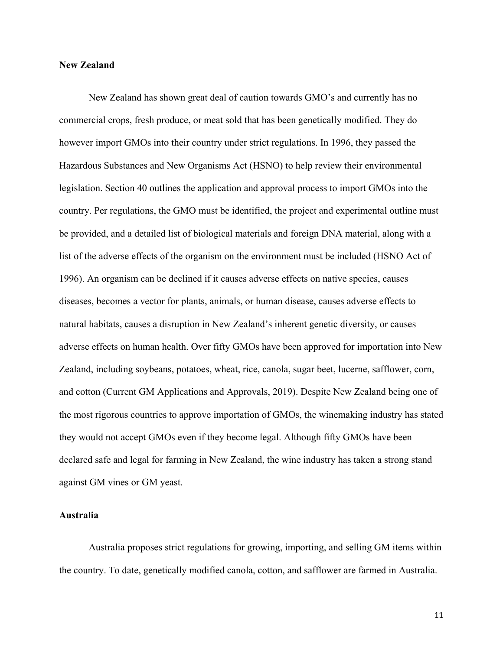#### **New Zealand**

New Zealand has shown great deal of caution towards GMO's and currently has no commercial crops, fresh produce, or meat sold that has been genetically modified. They do however import GMOs into their country under strict regulations. In 1996, they passed the Hazardous Substances and New Organisms Act (HSNO) to help review their environmental legislation. Section 40 outlines the application and approval process to import GMOs into the country. Per regulations, the GMO must be identified, the project and experimental outline must be provided, and a detailed list of biological materials and foreign DNA material, along with a list of the adverse effects of the organism on the environment must be included (HSNO Act of 1996). An organism can be declined if it causes adverse effects on native species, causes diseases, becomes a vector for plants, animals, or human disease, causes adverse effects to natural habitats, causes a disruption in New Zealand's inherent genetic diversity, or causes adverse effects on human health. Over fifty GMOs have been approved for importation into New Zealand, including soybeans, potatoes, wheat, rice, canola, sugar beet, lucerne, safflower, corn, and cotton (Current GM Applications and Approvals, 2019). Despite New Zealand being one of the most rigorous countries to approve importation of GMOs, the winemaking industry has stated they would not accept GMOs even if they become legal. Although fifty GMOs have been declared safe and legal for farming in New Zealand, the wine industry has taken a strong stand against GM vines or GM yeast.

# **Australia**

Australia proposes strict regulations for growing, importing, and selling GM items within the country. To date, genetically modified canola, cotton, and safflower are farmed in Australia.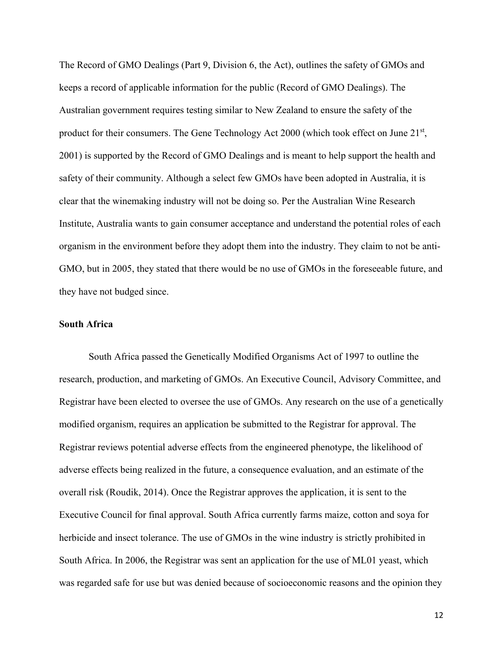The Record of GMO Dealings (Part 9, Division 6, the Act), outlines the safety of GMOs and keeps a record of applicable information for the public (Record of GMO Dealings). The Australian government requires testing similar to New Zealand to ensure the safety of the product for their consumers. The Gene Technology Act 2000 (which took effect on June 21<sup>st</sup>, 2001) is supported by the Record of GMO Dealings and is meant to help support the health and safety of their community. Although a select few GMOs have been adopted in Australia, it is clear that the winemaking industry will not be doing so. Per the Australian Wine Research Institute, Australia wants to gain consumer acceptance and understand the potential roles of each organism in the environment before they adopt them into the industry. They claim to not be anti-GMO, but in 2005, they stated that there would be no use of GMOs in the foreseeable future, and they have not budged since.

#### **South Africa**

South Africa passed the Genetically Modified Organisms Act of 1997 to outline the research, production, and marketing of GMOs. An Executive Council, Advisory Committee, and Registrar have been elected to oversee the use of GMOs. Any research on the use of a genetically modified organism, requires an application be submitted to the Registrar for approval. The Registrar reviews potential adverse effects from the engineered phenotype, the likelihood of adverse effects being realized in the future, a consequence evaluation, and an estimate of the overall risk (Roudik, 2014). Once the Registrar approves the application, it is sent to the Executive Council for final approval. South Africa currently farms maize, cotton and soya for herbicide and insect tolerance. The use of GMOs in the wine industry is strictly prohibited in South Africa. In 2006, the Registrar was sent an application for the use of ML01 yeast, which was regarded safe for use but was denied because of socioeconomic reasons and the opinion they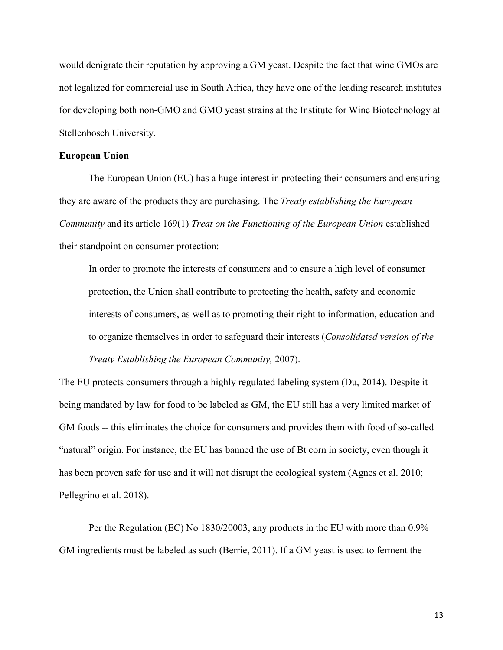would denigrate their reputation by approving a GM yeast. Despite the fact that wine GMOs are not legalized for commercial use in South Africa, they have one of the leading research institutes for developing both non-GMO and GMO yeast strains at the Institute for Wine Biotechnology at Stellenbosch University.

#### **European Union**

The European Union (EU) has a huge interest in protecting their consumers and ensuring they are aware of the products they are purchasing. The *Treaty establishing the European Community* and its article 169(1) *Treat on the Functioning of the European Union* established their standpoint on consumer protection:

In order to promote the interests of consumers and to ensure a high level of consumer protection, the Union shall contribute to protecting the health, safety and economic interests of consumers, as well as to promoting their right to information, education and to organize themselves in order to safeguard their interests (*Consolidated version of the Treaty Establishing the European Community,* 2007).

The EU protects consumers through a highly regulated labeling system (Du, 2014). Despite it being mandated by law for food to be labeled as GM, the EU still has a very limited market of GM foods -- this eliminates the choice for consumers and provides them with food of so-called "natural" origin. For instance, the EU has banned the use of Bt corn in society, even though it has been proven safe for use and it will not disrupt the ecological system (Agnes et al. 2010; Pellegrino et al. 2018).

Per the Regulation (EC) No 1830/20003, any products in the EU with more than 0.9% GM ingredients must be labeled as such (Berrie, 2011). If a GM yeast is used to ferment the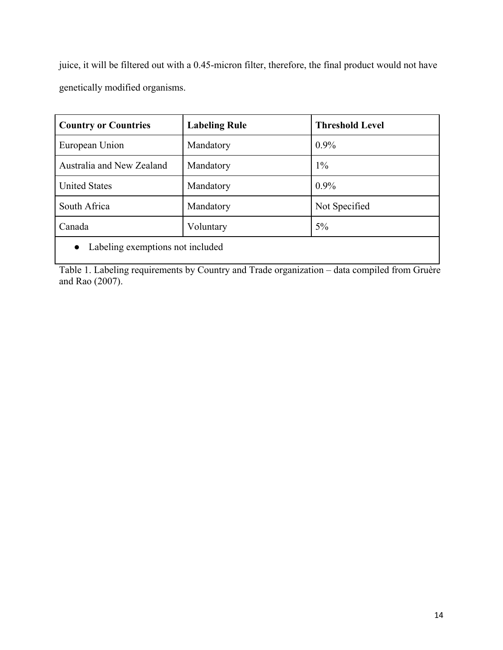juice, it will be filtered out with a 0.45-micron filter, therefore, the final product would not have genetically modified organisms.

| <b>Country or Countries</b>      | <b>Labeling Rule</b> | <b>Threshold Level</b> |  |
|----------------------------------|----------------------|------------------------|--|
| European Union                   | Mandatory            | $0.9\%$                |  |
| Australia and New Zealand        | Mandatory            | $1\%$                  |  |
| <b>United States</b>             | Mandatory            | $0.9\%$                |  |
| South Africa                     | Mandatory            | Not Specified          |  |
| Canada                           | Voluntary            | $5\%$                  |  |
| Labeling exemptions not included |                      |                        |  |

Table 1. Labeling requirements by Country and Trade organization – data compiled from Gruère and Rao (2007).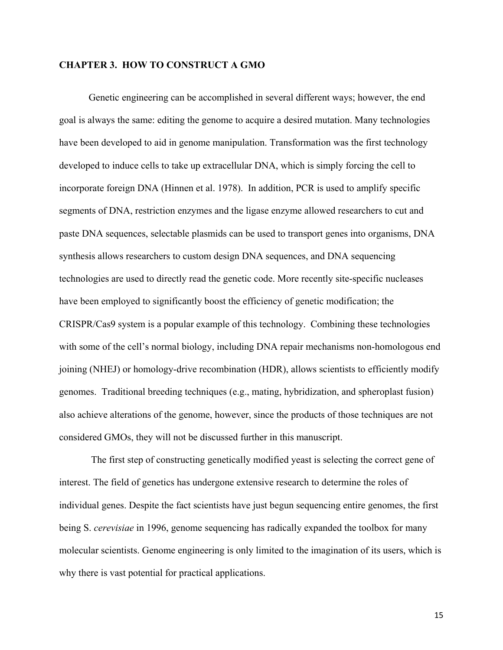#### **CHAPTER 3. HOW TO CONSTRUCT A GMO**

Genetic engineering can be accomplished in several different ways; however, the end goal is always the same: editing the genome to acquire a desired mutation. Many technologies have been developed to aid in genome manipulation. Transformation was the first technology developed to induce cells to take up extracellular DNA, which is simply forcing the cell to incorporate foreign DNA (Hinnen et al. 1978). In addition, PCR is used to amplify specific segments of DNA, restriction enzymes and the ligase enzyme allowed researchers to cut and paste DNA sequences, selectable plasmids can be used to transport genes into organisms, DNA synthesis allows researchers to custom design DNA sequences, and DNA sequencing technologies are used to directly read the genetic code. More recently site-specific nucleases have been employed to significantly boost the efficiency of genetic modification; the CRISPR/Cas9 system is a popular example of this technology. Combining these technologies with some of the cell's normal biology, including DNA repair mechanisms non-homologous end joining (NHEJ) or homology-drive recombination (HDR), allows scientists to efficiently modify genomes. Traditional breeding techniques (e.g., mating, hybridization, and spheroplast fusion) also achieve alterations of the genome, however, since the products of those techniques are not considered GMOs, they will not be discussed further in this manuscript.

The first step of constructing genetically modified yeast is selecting the correct gene of interest. The field of genetics has undergone extensive research to determine the roles of individual genes. Despite the fact scientists have just begun sequencing entire genomes, the first being S. *cerevisiae* in 1996, genome sequencing has radically expanded the toolbox for many molecular scientists. Genome engineering is only limited to the imagination of its users, which is why there is vast potential for practical applications.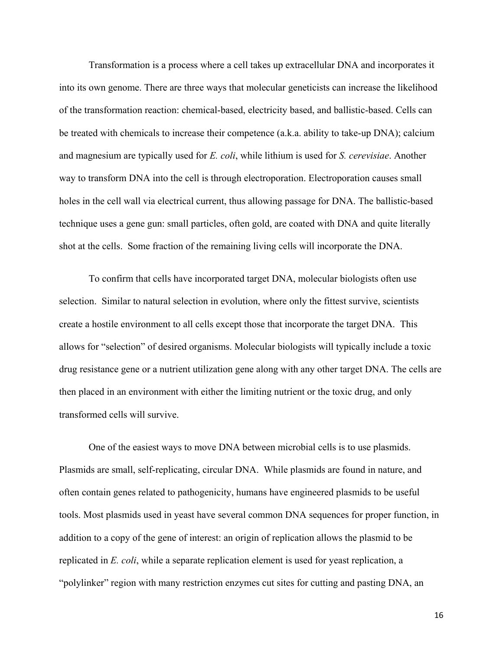Transformation is a process where a cell takes up extracellular DNA and incorporates it into its own genome. There are three ways that molecular geneticists can increase the likelihood of the transformation reaction: chemical-based, electricity based, and ballistic-based. Cells can be treated with chemicals to increase their competence (a.k.a. ability to take-up DNA); calcium and magnesium are typically used for *E. coli*, while lithium is used for *S. cerevisiae*. Another way to transform DNA into the cell is through electroporation. Electroporation causes small holes in the cell wall via electrical current, thus allowing passage for DNA. The ballistic-based technique uses a gene gun: small particles, often gold, are coated with DNA and quite literally shot at the cells. Some fraction of the remaining living cells will incorporate the DNA.

To confirm that cells have incorporated target DNA, molecular biologists often use selection. Similar to natural selection in evolution, where only the fittest survive, scientists create a hostile environment to all cells except those that incorporate the target DNA. This allows for "selection" of desired organisms. Molecular biologists will typically include a toxic drug resistance gene or a nutrient utilization gene along with any other target DNA. The cells are then placed in an environment with either the limiting nutrient or the toxic drug, and only transformed cells will survive.

One of the easiest ways to move DNA between microbial cells is to use plasmids. Plasmids are small, self-replicating, circular DNA. While plasmids are found in nature, and often contain genes related to pathogenicity, humans have engineered plasmids to be useful tools. Most plasmids used in yeast have several common DNA sequences for proper function, in addition to a copy of the gene of interest: an origin of replication allows the plasmid to be replicated in *E. coli*, while a separate replication element is used for yeast replication, a "polylinker" region with many restriction enzymes cut sites for cutting and pasting DNA, an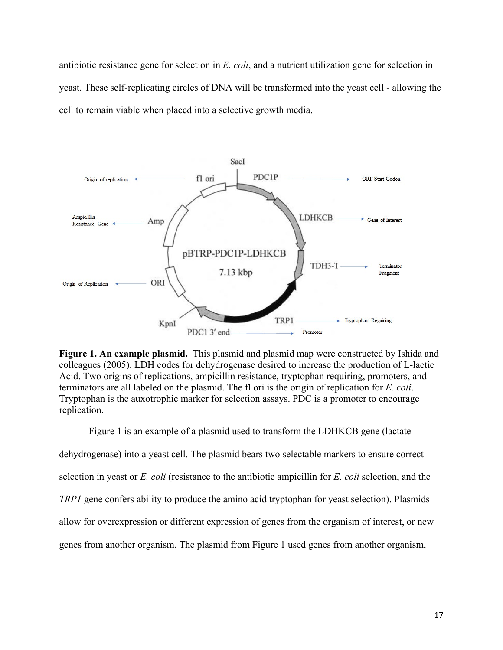antibiotic resistance gene for selection in *E. coli*, and a nutrient utilization gene for selection in yeast. These self-replicating circles of DNA will be transformed into the yeast cell - allowing the cell to remain viable when placed into a selective growth media.



**Figure 1. An example plasmid.** This plasmid and plasmid map were constructed by Ishida and colleagues (2005). LDH codes for dehydrogenase desired to increase the production of L-lactic Acid. Two origins of replications, ampicillin resistance, tryptophan requiring, promoters, and terminators are all labeled on the plasmid. The fl ori is the origin of replication for *E. coli*. Tryptophan is the auxotrophic marker for selection assays. PDC is a promoter to encourage replication.

Figure 1 is an example of a plasmid used to transform the LDHKCB gene (lactate dehydrogenase) into a yeast cell. The plasmid bears two selectable markers to ensure correct selection in yeast or *E. coli* (resistance to the antibiotic ampicillin for *E. coli* selection, and the *TRP1* gene confers ability to produce the amino acid tryptophan for yeast selection). Plasmids allow for overexpression or different expression of genes from the organism of interest, or new genes from another organism. The plasmid from Figure 1 used genes from another organism,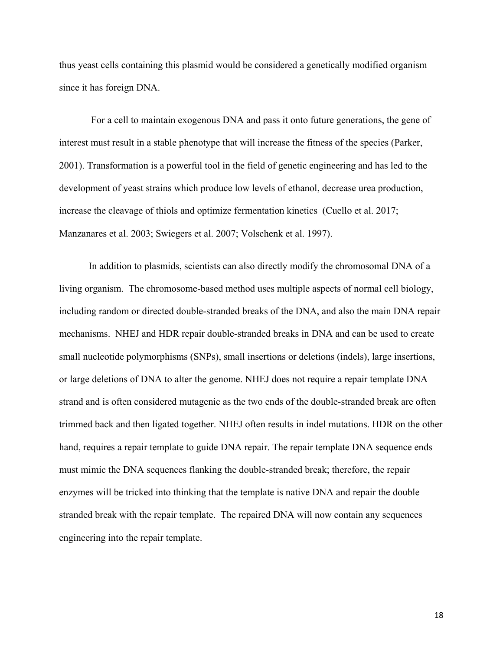thus yeast cells containing this plasmid would be considered a genetically modified organism since it has foreign DNA.

For a cell to maintain exogenous DNA and pass it onto future generations, the gene of interest must result in a stable phenotype that will increase the fitness of the species (Parker, 2001). Transformation is a powerful tool in the field of genetic engineering and has led to the development of yeast strains which produce low levels of ethanol, decrease urea production, increase the cleavage of thiols and optimize fermentation kinetics (Cuello et al. 2017; Manzanares et al. 2003; Swiegers et al. 2007; Volschenk et al. 1997).

In addition to plasmids, scientists can also directly modify the chromosomal DNA of a living organism. The chromosome-based method uses multiple aspects of normal cell biology, including random or directed double-stranded breaks of the DNA, and also the main DNA repair mechanisms. NHEJ and HDR repair double-stranded breaks in DNA and can be used to create small nucleotide polymorphisms (SNPs), small insertions or deletions (indels), large insertions, or large deletions of DNA to alter the genome. NHEJ does not require a repair template DNA strand and is often considered mutagenic as the two ends of the double-stranded break are often trimmed back and then ligated together. NHEJ often results in indel mutations. HDR on the other hand, requires a repair template to guide DNA repair. The repair template DNA sequence ends must mimic the DNA sequences flanking the double-stranded break; therefore, the repair enzymes will be tricked into thinking that the template is native DNA and repair the double stranded break with the repair template. The repaired DNA will now contain any sequences engineering into the repair template.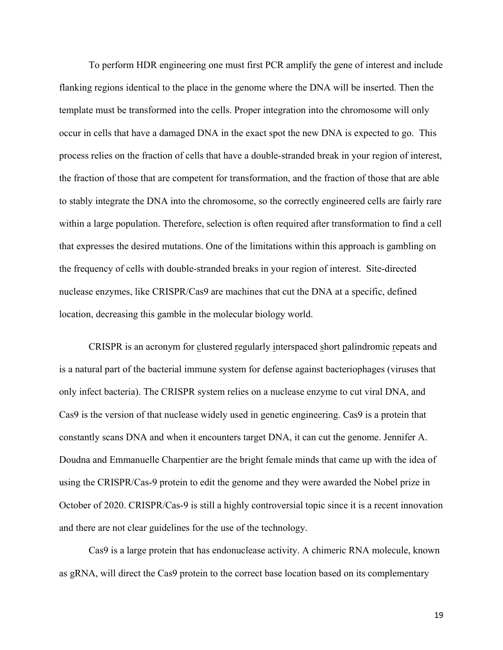To perform HDR engineering one must first PCR amplify the gene of interest and include flanking regions identical to the place in the genome where the DNA will be inserted. Then the template must be transformed into the cells. Proper integration into the chromosome will only occur in cells that have a damaged DNA in the exact spot the new DNA is expected to go. This process relies on the fraction of cells that have a double-stranded break in your region of interest, the fraction of those that are competent for transformation, and the fraction of those that are able to stably integrate the DNA into the chromosome, so the correctly engineered cells are fairly rare within a large population. Therefore, selection is often required after transformation to find a cell that expresses the desired mutations. One of the limitations within this approach is gambling on the frequency of cells with double-stranded breaks in your region of interest. Site-directed nuclease enzymes, like CRISPR/Cas9 are machines that cut the DNA at a specific, defined location, decreasing this gamble in the molecular biology world.

CRISPR is an acronym for clustered regularly interspaced short palindromic repeats and is a natural part of the bacterial immune system for defense against bacteriophages (viruses that only infect bacteria). The CRISPR system relies on a nuclease enzyme to cut viral DNA, and Cas9 is the version of that nuclease widely used in genetic engineering. Cas9 is a protein that constantly scans DNA and when it encounters target DNA, it can cut the genome. Jennifer A. Doudna and Emmanuelle Charpentier are the bright female minds that came up with the idea of using the CRISPR/Cas-9 protein to edit the genome and they were awarded the Nobel prize in October of 2020. CRISPR/Cas-9 is still a highly controversial topic since it is a recent innovation and there are not clear guidelines for the use of the technology.

Cas9 is a large protein that has endonuclease activity. A chimeric RNA molecule, known as gRNA, will direct the Cas9 protein to the correct base location based on its complementary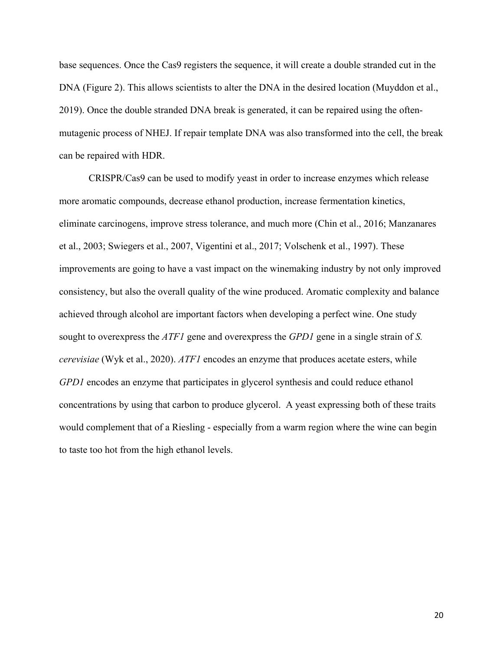base sequences. Once the Cas9 registers the sequence, it will create a double stranded cut in the DNA (Figure 2). This allows scientists to alter the DNA in the desired location (Muyddon et al., 2019). Once the double stranded DNA break is generated, it can be repaired using the oftenmutagenic process of NHEJ. If repair template DNA was also transformed into the cell, the break can be repaired with HDR.

CRISPR/Cas9 can be used to modify yeast in order to increase enzymes which release more aromatic compounds, decrease ethanol production, increase fermentation kinetics, eliminate carcinogens, improve stress tolerance, and much more (Chin et al., 2016; Manzanares et al., 2003; Swiegers et al., 2007, Vigentini et al., 2017; Volschenk et al., 1997). These improvements are going to have a vast impact on the winemaking industry by not only improved consistency, but also the overall quality of the wine produced. Aromatic complexity and balance achieved through alcohol are important factors when developing a perfect wine. One study sought to overexpress the *ATF1* gene and overexpress the *GPD1* gene in a single strain of *S. cerevisiae* (Wyk et al., 2020). *ATF1* encodes an enzyme that produces acetate esters, while *GPD1* encodes an enzyme that participates in glycerol synthesis and could reduce ethanol concentrations by using that carbon to produce glycerol. A yeast expressing both of these traits would complement that of a Riesling - especially from a warm region where the wine can begin to taste too hot from the high ethanol levels.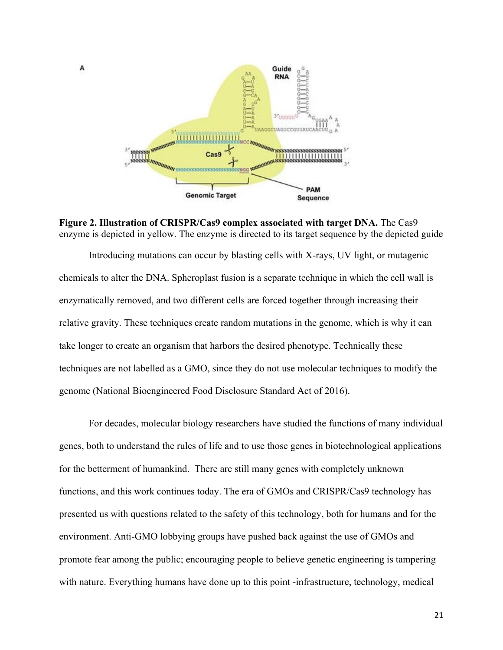

А

**Figure 2. Illustration of CRISPR/Cas9 complex associated with target DNA.** The Cas9 enzyme is depicted in yellow. The enzyme is directed to its target sequence by the depicted guide

Introducing mutations can occur by blasting cells with X-rays, UV light, or mutagenic chemicals to alter the DNA. Spheroplast fusion is a separate technique in which the cell wall is enzymatically removed, and two different cells are forced together through increasing their relative gravity. These techniques create random mutations in the genome, which is why it can take longer to create an organism that harbors the desired phenotype. Technically these techniques are not labelled as a GMO, since they do not use molecular techniques to modify the genome (National Bioengineered Food Disclosure Standard Act of 2016).

For decades, molecular biology researchers have studied the functions of many individual genes, both to understand the rules of life and to use those genes in biotechnological applications for the betterment of humankind. There are still many genes with completely unknown functions, and this work continues today. The era of GMOs and CRISPR/Cas9 technology has presented us with questions related to the safety of this technology, both for humans and for the environment. Anti-GMO lobbying groups have pushed back against the use of GMOs and promote fear among the public; encouraging people to believe genetic engineering is tampering with nature. Everything humans have done up to this point -infrastructure, technology, medical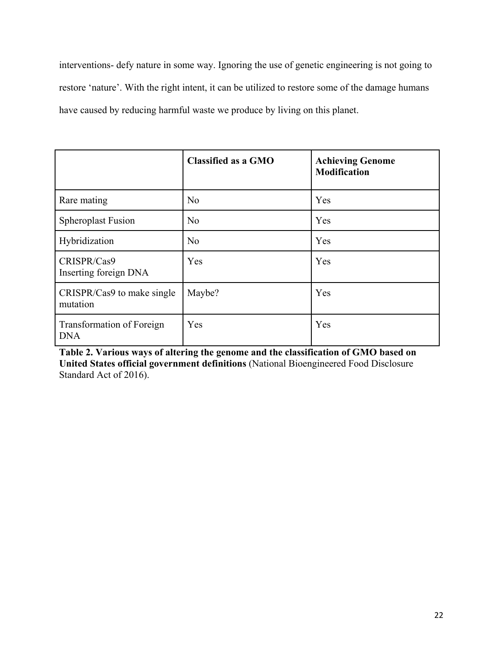interventions- defy nature in some way. Ignoring the use of genetic engineering is not going to restore 'nature'. With the right intent, it can be utilized to restore some of the damage humans have caused by reducing harmful waste we produce by living on this planet.

|                                         | <b>Classified as a GMO</b> | <b>Achieving Genome</b><br><b>Modification</b> |
|-----------------------------------------|----------------------------|------------------------------------------------|
| Rare mating                             | N <sub>o</sub>             | Yes                                            |
| <b>Spheroplast Fusion</b>               | No                         | Yes                                            |
| Hybridization                           | N <sub>o</sub>             | Yes                                            |
| CRISPR/Cas9<br>Inserting foreign DNA    | Yes                        | Yes                                            |
| CRISPR/Cas9 to make single<br>mutation  | Maybe?                     | Yes                                            |
| Transformation of Foreign<br><b>DNA</b> | Yes                        | Yes                                            |

**Table 2. Various ways of altering the genome and the classification of GMO based on United States official government definitions** (National Bioengineered Food Disclosure Standard Act of 2016).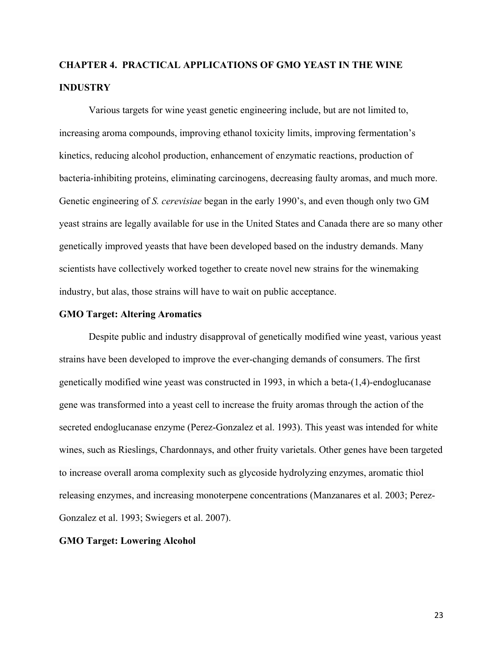# **CHAPTER 4. PRACTICAL APPLICATIONS OF GMO YEAST IN THE WINE INDUSTRY**

Various targets for wine yeast genetic engineering include, but are not limited to, increasing aroma compounds, improving ethanol toxicity limits, improving fermentation's kinetics, reducing alcohol production, enhancement of enzymatic reactions, production of bacteria-inhibiting proteins, eliminating carcinogens, decreasing faulty aromas, and much more. Genetic engineering of *S. cerevisiae* began in the early 1990's, and even though only two GM yeast strains are legally available for use in the United States and Canada there are so many other genetically improved yeasts that have been developed based on the industry demands. Many scientists have collectively worked together to create novel new strains for the winemaking industry, but alas, those strains will have to wait on public acceptance.

#### **GMO Target: Altering Aromatics**

Despite public and industry disapproval of genetically modified wine yeast, various yeast strains have been developed to improve the ever-changing demands of consumers. The first genetically modified wine yeast was constructed in 1993, in which a beta-(1,4)-endoglucanase gene was transformed into a yeast cell to increase the fruity aromas through the action of the secreted endoglucanase enzyme (Perez-Gonzalez et al. 1993). This yeast was intended for white wines, such as Rieslings, Chardonnays, and other fruity varietals. Other genes have been targeted to increase overall aroma complexity such as glycoside hydrolyzing enzymes, aromatic thiol releasing enzymes, and increasing monoterpene concentrations (Manzanares et al. 2003; Perez-Gonzalez et al. 1993; Swiegers et al. 2007).

#### **GMO Target: Lowering Alcohol**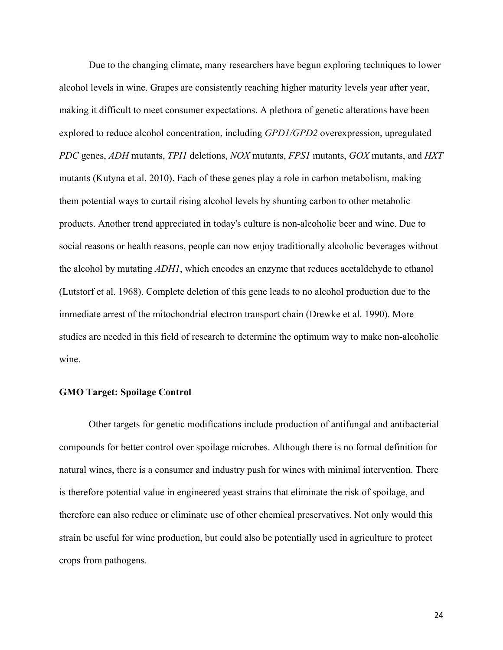Due to the changing climate, many researchers have begun exploring techniques to lower alcohol levels in wine. Grapes are consistently reaching higher maturity levels year after year, making it difficult to meet consumer expectations. A plethora of genetic alterations have been explored to reduce alcohol concentration, including *GPD1/GPD2* overexpression, upregulated *PDC* genes, *ADH* mutants, *TPI1* deletions, *NOX* mutants, *FPS1* mutants, *GOX* mutants, and *HXT* mutants (Kutyna et al. 2010). Each of these genes play a role in carbon metabolism, making them potential ways to curtail rising alcohol levels by shunting carbon to other metabolic products. Another trend appreciated in today's culture is non-alcoholic beer and wine. Due to social reasons or health reasons, people can now enjoy traditionally alcoholic beverages without the alcohol by mutating *ADH1*, which encodes an enzyme that reduces acetaldehyde to ethanol (Lutstorf et al. 1968). Complete deletion of this gene leads to no alcohol production due to the immediate arrest of the mitochondrial electron transport chain (Drewke et al. 1990). More studies are needed in this field of research to determine the optimum way to make non-alcoholic wine.

## **GMO Target: Spoilage Control**

Other targets for genetic modifications include production of antifungal and antibacterial compounds for better control over spoilage microbes. Although there is no formal definition for natural wines, there is a consumer and industry push for wines with minimal intervention. There is therefore potential value in engineered yeast strains that eliminate the risk of spoilage, and therefore can also reduce or eliminate use of other chemical preservatives. Not only would this strain be useful for wine production, but could also be potentially used in agriculture to protect crops from pathogens.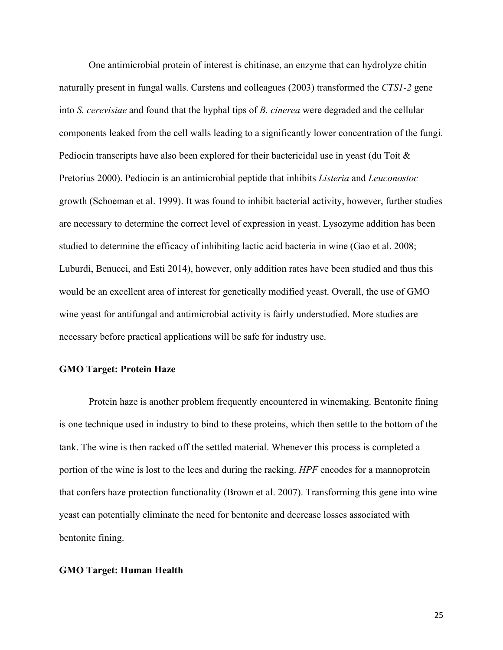One antimicrobial protein of interest is chitinase, an enzyme that can hydrolyze chitin naturally present in fungal walls. Carstens and colleagues (2003) transformed the *CTS1-2* gene into *S. cerevisiae* and found that the hyphal tips of *B. cinerea* were degraded and the cellular components leaked from the cell walls leading to a significantly lower concentration of the fungi. Pediocin transcripts have also been explored for their bactericidal use in yeast (du Toit & Pretorius 2000). Pediocin is an antimicrobial peptide that inhibits *Listeria* and *Leuconostoc* growth (Schoeman et al. 1999). It was found to inhibit bacterial activity, however, further studies are necessary to determine the correct level of expression in yeast. Lysozyme addition has been studied to determine the efficacy of inhibiting lactic acid bacteria in wine (Gao et al. 2008; Luburdi, Benucci, and Esti 2014), however, only addition rates have been studied and thus this would be an excellent area of interest for genetically modified yeast. Overall, the use of GMO wine yeast for antifungal and antimicrobial activity is fairly understudied. More studies are necessary before practical applications will be safe for industry use.

#### **GMO Target: Protein Haze**

Protein haze is another problem frequently encountered in winemaking. Bentonite fining is one technique used in industry to bind to these proteins, which then settle to the bottom of the tank. The wine is then racked off the settled material. Whenever this process is completed a portion of the wine is lost to the lees and during the racking. *HPF* encodes for a mannoprotein that confers haze protection functionality (Brown et al. 2007). Transforming this gene into wine yeast can potentially eliminate the need for bentonite and decrease losses associated with bentonite fining.

#### **GMO Target: Human Health**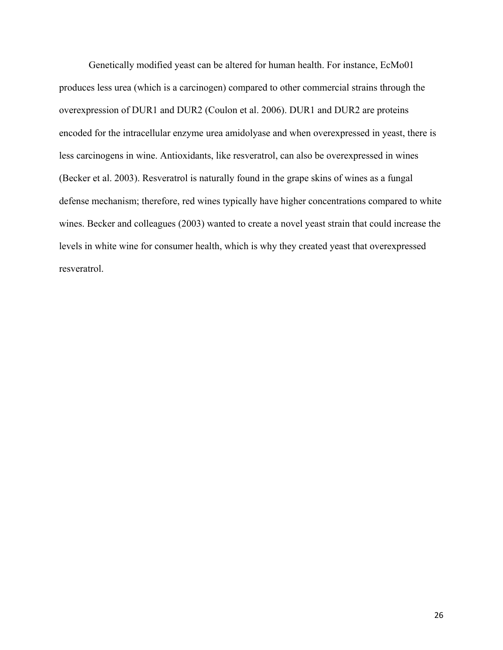Genetically modified yeast can be altered for human health. For instance, EcMo01 produces less urea (which is a carcinogen) compared to other commercial strains through the overexpression of DUR1 and DUR2 (Coulon et al. 2006). DUR1 and DUR2 are proteins encoded for the intracellular enzyme urea amidolyase and when overexpressed in yeast, there is less carcinogens in wine. Antioxidants, like resveratrol, can also be overexpressed in wines (Becker et al. 2003). Resveratrol is naturally found in the grape skins of wines as a fungal defense mechanism; therefore, red wines typically have higher concentrations compared to white wines. Becker and colleagues (2003) wanted to create a novel yeast strain that could increase the levels in white wine for consumer health, which is why they created yeast that overexpressed resveratrol.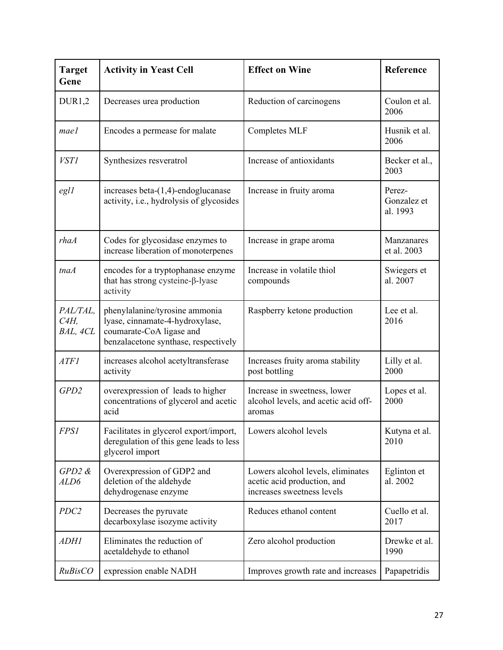| <b>Target</b><br>Gene           | <b>Activity in Yeast Cell</b>                                                                                                         | <b>Effect on Wine</b>                                                                          | Reference                         |
|---------------------------------|---------------------------------------------------------------------------------------------------------------------------------------|------------------------------------------------------------------------------------------------|-----------------------------------|
| DUR1,2                          | Decreases urea production                                                                                                             | Reduction of carcinogens                                                                       | Coulon et al.<br>2006             |
| mael                            | Encodes a permease for malate                                                                                                         | Completes MLF                                                                                  | Husnik et al.<br>2006             |
| <b>VST1</b>                     | Synthesizes resveratrol                                                                                                               | Increase of antioxidants                                                                       | Becker et al.,<br>2003            |
| egl1                            | increases beta- $(1,4)$ -endoglucanase<br>activity, i.e., hydrolysis of glycosides                                                    | Increase in fruity aroma                                                                       | Perez-<br>Gonzalez et<br>al. 1993 |
| rhaA                            | Codes for glycosidase enzymes to<br>increase liberation of monoterpenes                                                               | Increase in grape aroma                                                                        | Manzanares<br>et al. 2003         |
| tnaA                            | encodes for a tryptophanase enzyme<br>that has strong cysteine-β-lyase<br>activity                                                    | Increase in volatile thiol<br>compounds                                                        | Swiegers et<br>al. 2007           |
| PAL/TAL,<br>$C4H$ ,<br>BAL, 4CL | phenylalanine/tyrosine ammonia<br>lyase, cinnamate-4-hydroxylase,<br>coumarate-CoA ligase and<br>benzalacetone synthase, respectively | Raspberry ketone production                                                                    | Lee et al.<br>2016                |
| <b>ATF1</b>                     | increases alcohol acetyltransferase<br>activity                                                                                       | Increases fruity aroma stability<br>post bottling                                              | Lilly et al.<br>2000              |
| GPD2                            | overexpression of leads to higher<br>concentrations of glycerol and acetic<br>acid                                                    | Increase in sweetness, lower<br>alcohol levels, and acetic acid off-<br>aromas                 | Lopes et al.<br>2000              |
| <b>FPS1</b>                     | Facilitates in glycerol export/import,<br>deregulation of this gene leads to less<br>glycerol import                                  | Lowers alcohol levels                                                                          | Kutyna et al.<br>2010             |
| $GPD2$ &<br>ALD6                | Overexpression of GDP2 and<br>deletion of the aldehyde<br>dehydrogenase enzyme                                                        | Lowers alcohol levels, eliminates<br>acetic acid production, and<br>increases sweetness levels | Eglinton et<br>al. 2002           |
| PDC <sub>2</sub>                | Decreases the pyruvate<br>decarboxylase isozyme activity                                                                              | Reduces ethanol content                                                                        | Cuello et al.<br>2017             |
| <i>ADHI</i>                     | Eliminates the reduction of<br>acetaldehyde to ethanol                                                                                | Zero alcohol production                                                                        | Drewke et al.<br>1990             |
| RuBisCO                         | expression enable NADH                                                                                                                | Improves growth rate and increases                                                             | Papapetridis                      |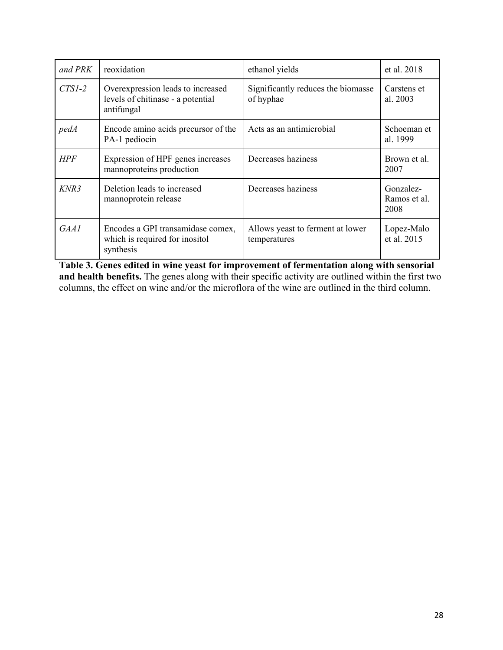| and PRK    | reoxidation                                                                          | ethanol yields                                   | et al. 2018                       |
|------------|--------------------------------------------------------------------------------------|--------------------------------------------------|-----------------------------------|
| $CTSI-2$   | Overexpression leads to increased<br>levels of chitinase - a potential<br>antifungal | Significantly reduces the biomasse<br>of hyphae  | Carstens et<br>al. 2003           |
| pedA       | Encode amino acids precursor of the<br>PA-1 pediocin                                 | Acts as an antimicrobial                         | Schoeman et<br>al. 1999           |
| <b>HPF</b> | Expression of HPF genes increases<br>mannoproteins production                        | Decreases haziness                               | Brown et al.<br>2007              |
| KNR3       | Deletion leads to increased<br>mannoprotein release                                  | Decreases haziness                               | Gonzalez-<br>Ramos et al.<br>2008 |
| GAA1       | Encodes a GPI transamidase comex,<br>which is required for inositol<br>synthesis     | Allows yeast to ferment at lower<br>temperatures | Lopez-Malo<br>et al. 2015         |

**Table 3. Genes edited in wine yeast for improvement of fermentation along with sensorial and health benefits.** The genes along with their specific activity are outlined within the first two columns, the effect on wine and/or the microflora of the wine are outlined in the third column.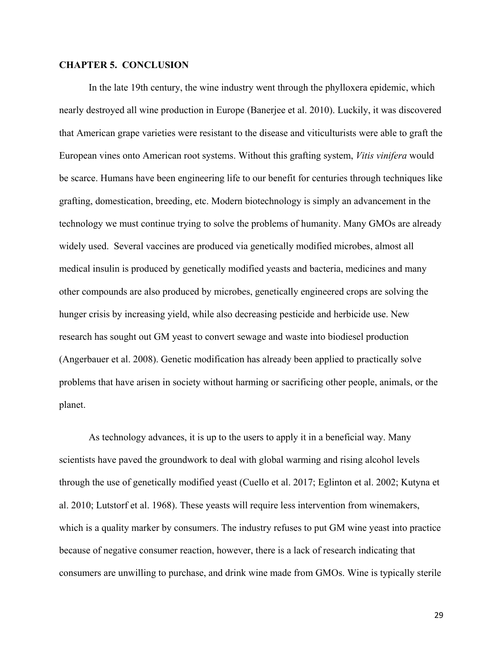# **CHAPTER 5. CONCLUSION**

In the late 19th century, the wine industry went through the phylloxera epidemic, which nearly destroyed all wine production in Europe (Banerjee et al. 2010). Luckily, it was discovered that American grape varieties were resistant to the disease and viticulturists were able to graft the European vines onto American root systems. Without this grafting system, *Vitis vinifera* would be scarce. Humans have been engineering life to our benefit for centuries through techniques like grafting, domestication, breeding, etc. Modern biotechnology is simply an advancement in the technology we must continue trying to solve the problems of humanity. Many GMOs are already widely used. Several vaccines are produced via genetically modified microbes, almost all medical insulin is produced by genetically modified yeasts and bacteria, medicines and many other compounds are also produced by microbes, genetically engineered crops are solving the hunger crisis by increasing yield, while also decreasing pesticide and herbicide use. New research has sought out GM yeast to convert sewage and waste into biodiesel production (Angerbauer et al. 2008). Genetic modification has already been applied to practically solve problems that have arisen in society without harming or sacrificing other people, animals, or the planet.

As technology advances, it is up to the users to apply it in a beneficial way. Many scientists have paved the groundwork to deal with global warming and rising alcohol levels through the use of genetically modified yeast (Cuello et al. 2017; Eglinton et al. 2002; Kutyna et al. 2010; Lutstorf et al. 1968). These yeasts will require less intervention from winemakers, which is a quality marker by consumers. The industry refuses to put GM wine yeast into practice because of negative consumer reaction, however, there is a lack of research indicating that consumers are unwilling to purchase, and drink wine made from GMOs. Wine is typically sterile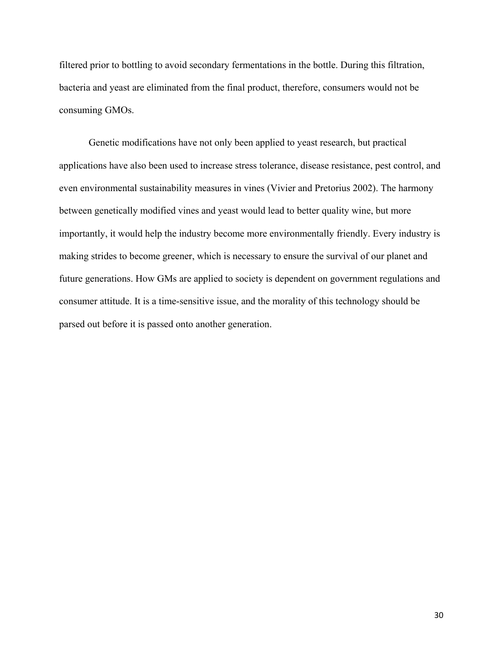filtered prior to bottling to avoid secondary fermentations in the bottle. During this filtration, bacteria and yeast are eliminated from the final product, therefore, consumers would not be consuming GMOs.

Genetic modifications have not only been applied to yeast research, but practical applications have also been used to increase stress tolerance, disease resistance, pest control, and even environmental sustainability measures in vines (Vivier and Pretorius 2002). The harmony between genetically modified vines and yeast would lead to better quality wine, but more importantly, it would help the industry become more environmentally friendly. Every industry is making strides to become greener, which is necessary to ensure the survival of our planet and future generations. How GMs are applied to society is dependent on government regulations and consumer attitude. It is a time-sensitive issue, and the morality of this technology should be parsed out before it is passed onto another generation.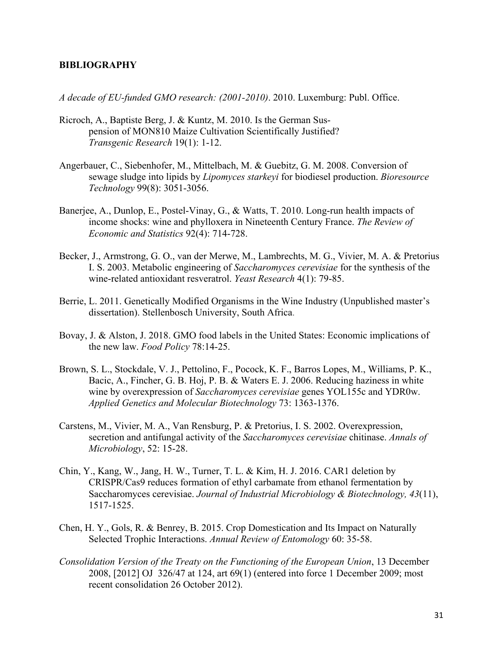#### **BIBLIOGRAPHY**

*A decade of EU-funded GMO research: (2001-2010)*. 2010. Luxemburg: Publ. Office.

- Ricroch, A., Baptiste Berg, J. & Kuntz, M. 2010. Is the German Suspension of MON810 Maize Cultivation Scientifically Justified? *Transgenic Research* 19(1): 1-12.
- Angerbauer, C., Siebenhofer, M., Mittelbach, M. & Guebitz, G. M. 2008. Conversion of sewage sludge into lipids by *Lipomyces starkeyi* for biodiesel production. *Bioresource Technology* 99(8): 3051-3056.
- Banerjee, A., Dunlop, E., Postel-Vinay, G., & Watts, T. 2010. Long-run health impacts of income shocks: wine and phylloxera in Nineteenth Century France. *The Review of Economic and Statistics* 92(4): 714-728.
- Becker, J., Armstrong, G. O., van der Merwe, M., Lambrechts, M. G., Vivier, M. A. & Pretorius I. S. 2003. Metabolic engineering of *Saccharomyces cerevisiae* for the synthesis of the wine-related antioxidant resveratrol. *Yeast Research* 4(1): 79-85.
- Berrie, L. 2011. Genetically Modified Organisms in the Wine Industry (Unpublished master's dissertation). Stellenbosch University, South Africa.
- Bovay, J. & Alston, J. 2018. GMO food labels in the United States: Economic implications of the new law. *Food Policy* 78:14-25.
- Brown, S. L., Stockdale, V. J., Pettolino, F., Pocock, K. F., Barros Lopes, M., Williams, P. K., Bacic, A., Fincher, G. B. Hoj, P. B. & Waters E. J. 2006. Reducing haziness in white wine by overexpression of *Saccharomyces cerevisiae* genes YOL155c and YDR0w. *Applied Genetics and Molecular Biotechnology* 73: 1363-1376.
- Carstens, M., Vivier, M. A., Van Rensburg, P. & Pretorius, I. S. 2002. Overexpression, secretion and antifungal activity of the *Saccharomyces cerevisiae* chitinase. *Annals of Microbiology*, 52: 15-28.
- Chin, Y., Kang, W., Jang, H. W., Turner, T. L. & Kim, H. J. 2016. CAR1 deletion by CRISPR/Cas9 reduces formation of ethyl carbamate from ethanol fermentation by Saccharomyces cerevisiae. *Journal of Industrial Microbiology & Biotechnology, 43*(11), 1517-1525.
- Chen, H. Y., Gols, R. & Benrey, B. 2015. Crop Domestication and Its Impact on Naturally Selected Trophic Interactions. *Annual Review of Entomology* 60: 35-58.
- *Consolidation Version of the Treaty on the Functioning of the European Union*, 13 December 2008, [2012] OJ 326/47 at 124, art 69(1) (entered into force 1 December 2009; most recent consolidation 26 October 2012).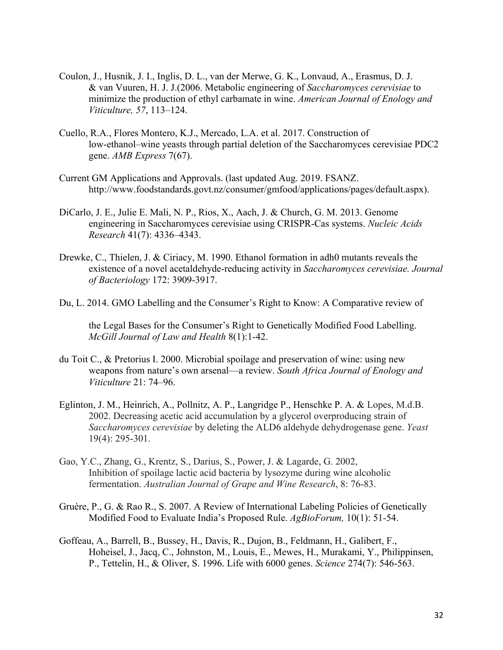- Coulon, J., Husnik, J. I., Inglis, D. L., van der Merwe, G. K., Lonvaud, A., Erasmus, D. J. & van Vuuren, H. J. J.(2006. Metabolic engineering of *Saccharomyces cerevisiae* to minimize the production of ethyl carbamate in wine. *American Journal of Enology and Viticulture, 57*, 113–124.
- Cuello, R.A., Flores Montero, K.J., Mercado, L.A. et al. 2017. Construction of low-ethanol–wine yeasts through partial deletion of the Saccharomyces cerevisiae PDC2 gene. *AMB Express* 7(67).
- Current GM Applications and Approvals. (last updated Aug. 2019. FSANZ. http://www.foodstandards.govt.nz/consumer/gmfood/applications/pages/default.aspx).
- DiCarlo, J. E., Julie E. Mali, N. P., Rios, X., Aach, J. & Church, G. M. 2013. Genome engineering in Saccharomyces cerevisiae using CRISPR-Cas systems. *Nucleic Acids Research* 41(7): 4336–4343.
- Drewke, C., Thielen, J. & Ciriacy, M. 1990. Ethanol formation in adh0 mutants reveals the existence of a novel acetaldehyde-reducing activity in *Saccharomyces cerevisiae. Journal of Bacteriology* 172: 3909-3917.
- Du, L. 2014. GMO Labelling and the Consumer's Right to Know: A Comparative review of

the Legal Bases for the Consumer's Right to Genetically Modified Food Labelling. *McGill Journal of Law and Health* 8(1):1-42.

- du Toit C., & Pretorius I. 2000. Microbial spoilage and preservation of wine: using new weapons from nature's own arsenal—a review. *South Africa Journal of Enology and Viticulture* 21: 74–96.
- Eglinton, J. M., Heinrich, A., Pollnitz, A. P., Langridge P., Henschke P. A. & Lopes, M.d.B. 2002. Decreasing acetic acid accumulation by a glycerol overproducing strain of *Saccharomyces cerevisiae* by deleting the ALD6 aldehyde dehydrogenase gene. *Yeast*  19(4): 295-301.
- Gao, Y.C., Zhang, G., Krentz, S., Darius, S., Power, J. & Lagarde, G. 2002, Inhibition of spoilage lactic acid bacteria by lysozyme during wine alcoholic fermentation. *Australian Journal of Grape and Wine Research*, 8: 76-83.
- Gruère, P., G. & Rao R., S. 2007. A Review of International Labeling Policies of Genetically Modified Food to Evaluate India's Proposed Rule. *AgBioForum,* 10(1): 51-54.
- Goffeau, A., Barrell, B., Bussey, H., Davis, R., Dujon, B., Feldmann, H., Galibert, F., Hoheisel, J., Jacq, C., Johnston, M., Louis, E., Mewes, H., Murakami, Y., Philippinsen, P., Tettelin, H., & Oliver, S. 1996. Life with 6000 genes. *Science* 274(7): 546-563.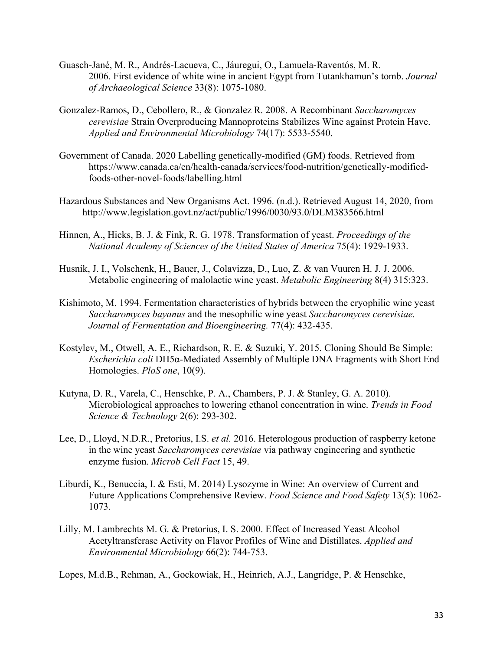- Guasch-Jané, M. R., Andrés-Lacueva, C., Jáuregui, O., Lamuela-Raventós, M. R. 2006. First evidence of white wine in ancient Egypt from Tutankhamun's tomb. *Journal of Archaeological Science* 33(8): 1075-1080.
- Gonzalez-Ramos, D., Cebollero, R., & Gonzalez R. 2008. A Recombinant *Saccharomyces cerevisiae* Strain Overproducing Mannoproteins Stabilizes Wine against Protein Have. *Applied and Environmental Microbiology* 74(17): 5533-5540.
- Government of Canada. 2020 Labelling genetically-modified (GM) foods. Retrieved from https://www.canada.ca/en/health-canada/services/food-nutrition/genetically-modifiedfoods-other-novel-foods/labelling.html
- Hazardous Substances and New Organisms Act. 1996. (n.d.). Retrieved August 14, 2020, from http://www.legislation.govt.nz/act/public/1996/0030/93.0/DLM383566.html
- Hinnen, A., Hicks, B. J. & Fink, R. G. 1978. Transformation of yeast. *Proceedings of the National Academy of Sciences of the United States of America* 75(4): 1929-1933.
- Husnik, J. I., Volschenk, H., Bauer, J., Colavizza, D., Luo, Z. & van Vuuren H. J. J. 2006. Metabolic engineering of malolactic wine yeast. *Metabolic Engineering* 8(4) 315:323.
- Kishimoto, M. 1994. Fermentation characteristics of hybrids between the cryophilic wine yeast *Saccharomyces bayanus* and the mesophilic wine yeast *Saccharomyces cerevisiae. Journal of Fermentation and Bioengineering.* 77(4): 432-435.
- Kostylev, M., Otwell, A. E., Richardson, R. E. & Suzuki, Y. 2015. Cloning Should Be Simple: *Escherichia coli* DH5α-Mediated Assembly of Multiple DNA Fragments with Short End Homologies. *PloS one*, 10(9).
- Kutyna, D. R., Varela, C., Henschke, P. A., Chambers, P. J. & Stanley, G. A. 2010). Microbiological approaches to lowering ethanol concentration in wine. *Trends in Food Science & Technology* 2(6): 293-302.
- Lee, D., Lloyd, N.D.R., Pretorius, I.S. *et al.* 2016. Heterologous production of raspberry ketone in the wine yeast *Saccharomyces cerevisiae* via pathway engineering and synthetic enzyme fusion. *Microb Cell Fact* 15, 49.
- Liburdi, K., Benuccia, I. & Esti, M. 2014) Lysozyme in Wine: An overview of Current and Future Applications Comprehensive Review. *Food Science and Food Safety* 13(5): 1062- 1073.
- Lilly, M. Lambrechts M. G. & Pretorius, I. S. 2000. Effect of Increased Yeast Alcohol Acetyltransferase Activity on Flavor Profiles of Wine and Distillates. *Applied and Environmental Microbiology* 66(2): 744-753.

Lopes, M.d.B., Rehman, A., Gockowiak, H., Heinrich, A.J., Langridge, P. & Henschke,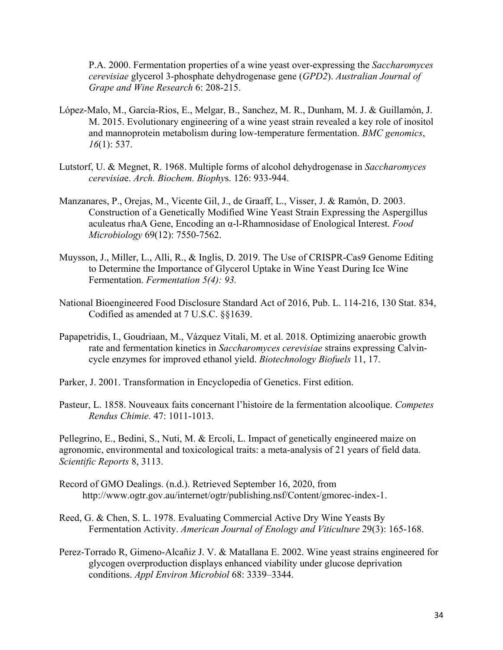P.A. 2000. Fermentation properties of a wine yeast over-expressing the *Saccharomyces cerevisiae* glycerol 3‐phosphate dehydrogenase gene (*GPD2*). *Australian Journal of Grape and Wine Research* 6: 208-215.

- López-Malo, M., García-Rios, E., Melgar, B., Sanchez, M. R., Dunham, M. J. & Guillamón, J. M. 2015. Evolutionary engineering of a wine yeast strain revealed a key role of inositol and mannoprotein metabolism during low-temperature fermentation. *BMC genomics*, *16*(1): 537.
- Lutstorf, U. & Megnet, R. 1968. Multiple forms of alcohol dehydrogenase in *Saccharomyces cerevisia*e. *Arch. Biochem. Biophy*s. 126: 933-944.
- Manzanares, P., Orejas, M., Vicente Gil, J., de Graaff, L., Visser, J. & Ramón, D. 2003. Construction of a Genetically Modified Wine Yeast Strain Expressing the Aspergillus aculeatus rhaA Gene, Encoding an α-l-Rhamnosidase of Enological Interest. *Food Microbiology* 69(12): 7550-7562.
- Muysson, J., Miller, L., Alli, R., & Inglis, D. 2019. The Use of CRISPR-Cas9 Genome Editing to Determine the Importance of Glycerol Uptake in Wine Yeast During Ice Wine Fermentation. *Fermentation 5(4): 93.*
- National Bioengineered Food Disclosure Standard Act of 2016, Pub. L. 114-216, 130 Stat. 834, Codified as amended at 7 U.S.C. §§1639.
- Papapetridis, I., Goudriaan, M., Vázquez Vitali, M. et al. 2018. Optimizing anaerobic growth rate and fermentation kinetics in *Saccharomyces cerevisiae* strains expressing Calvincycle enzymes for improved ethanol yield. *Biotechnology Biofuels* 11, 17.

Parker, J. 2001. Transformation in Encyclopedia of Genetics. First edition.

Pasteur, L. 1858. Nouveaux faits concernant l'histoire de la fermentation alcoolique. *Competes Rendus Chimie.* 47: 1011-1013.

Pellegrino, E., Bedini, S., Nuti, M. & Ercoli, L. Impact of genetically engineered maize on agronomic, environmental and toxicological traits: a meta-analysis of 21 years of field data. *Scientific Reports* 8, 3113.

- Record of GMO Dealings. (n.d.). Retrieved September 16, 2020, from http://www.ogtr.gov.au/internet/ogtr/publishing.nsf/Content/gmorec-index-1.
- Reed, G. & Chen, S. L. 1978. Evaluating Commercial Active Dry Wine Yeasts By Fermentation Activity. *American Journal of Enology and Viticulture* 29(3): 165-168.
- Perez-Torrado R, Gimeno-Alcañiz J. V. & Matallana E. 2002. Wine yeast strains engineered for glycogen overproduction displays enhanced viability under glucose deprivation conditions. *Appl Environ Microbiol* 68: 3339–3344.